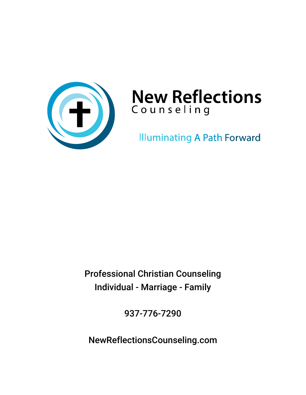

# **New Reflections** Counseling

**Illuminating A Path Forward** 

Professional Christian Counseling Individual - Marriage - Family

937-776-7290

NewReflectionsCounseling.com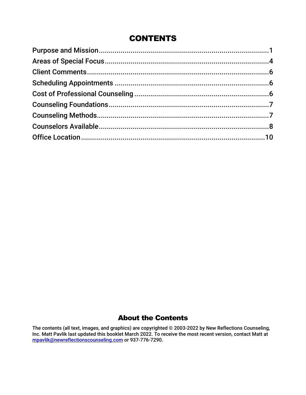### **CONTENTS**

### About the Contents

The contents (all text, images, and graphics) are copyrighted © 2003-2022 by New Reflections Counseling, Inc. Matt Pavlik last updated this booklet March 2022. To receive the most recent version, contact Matt at [mpavlik@newreflectionscounseling.com](mailto:mpavlik@newreflectionscounseling.com) or 937-776-7290.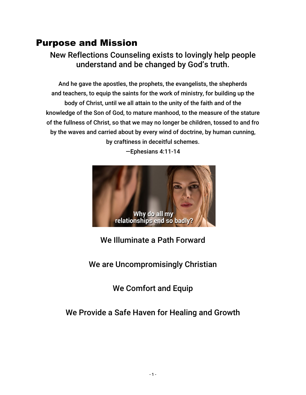# <span id="page-2-0"></span>Purpose and Mission

### New Reflections Counseling exists to lovingly help people understand and be changed by God's truth.

And he gave the apostles, the prophets, the evangelists, the shepherds and teachers, to equip the saints for the work of ministry, for building up the body of Christ, until we all attain to the unity of the faith and of the knowledge of the Son of God, to mature manhood, to the measure of the stature of the fullness of Christ, so that we may no longer be children, tossed to and fro by the waves and carried about by every wind of doctrine, by human cunning, by craftiness in deceitful schemes.



—Ephesians 4:11-14

### We Illuminate a Path Forward

We are Uncompromisingly Christian

We Comfort and Equip

### We Provide a Safe Haven for Healing and Growth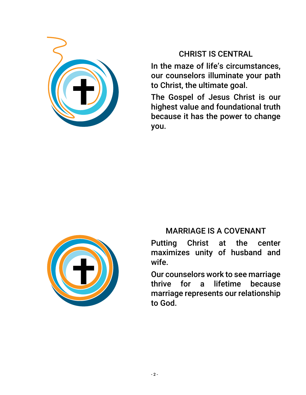

### CHRIST IS CENTRAL

In the maze of life's circumstances, our counselors illuminate your path to Christ, the ultimate goal.

The Gospel of Jesus Christ is our highest value and foundational truth because it has the power to change you.



### MARRIAGE IS A COVENANT

Putting Christ at the center maximizes unity of husband and wife.

Our counselors work to see marriage thrive for a lifetime because marriage represents our relationship to God.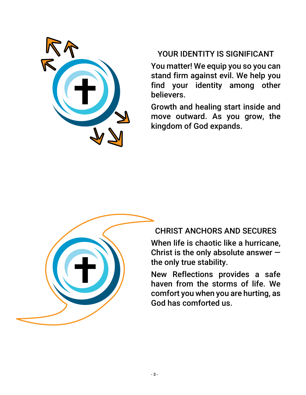

### YOUR IDENTITY IS SIGNIFICANT

You matter! We equip you so you can stand firm against evil. We help you find your identity among other believers.

Growth and healing start inside and move outward. As you grow, the kingdom of God expands.



### CHRIST ANCHORS AND SECURES

When life is chaotic like a hurricane, Christ is the only absolute answer  $$ the only true stability.

New Reflections provides a safe haven from the storms of life. We comfort you when you are hurting, as God has comforted us.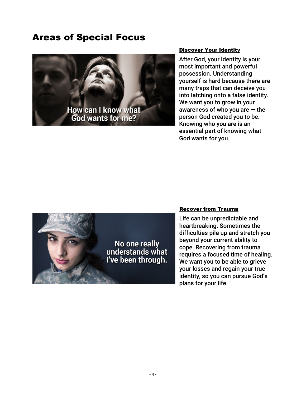### <span id="page-5-0"></span>Areas of Special Focus



#### **Discover Your Identity**

After God, your identity is your most important and powerful possession. Understanding yourself is hard because there are many traps that can deceive you into latching onto a false identity. We want you to grow in your awareness of who you are  $-$  the person God created you to be. Knowing who you are is an essential part of knowing what God wants for you.



#### Recover from Trauma

Life can be unpredictable and heartbreaking. Sometimes the difficulties pile up and stretch you beyond your current ability to cope. Recovering from trauma requires a focused time of healing. We want you to be able to grieve your losses and regain your true identity, so you can pursue God's plans for your life.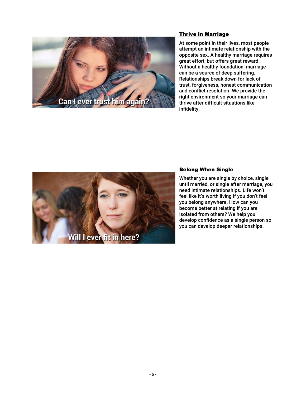

#### Thrive in Marriage

At some point in their lives, most people attempt an intimate relationship with the opposite sex. A healthy marriage requires great effort, but offers great reward. Without a healthy foundation, marriage can be a source of deep suffering. Relationships break down for lack of trust, forgiveness, honest communication and conflict resolution. We provide the right environment so your marriage can thrive after difficult situations like infidelity.



#### Belong When Single

Whether you are single by choice, single until married, or single after marriage, you need intimate relationships. Life won't feel like it's worth living if you don't feel you belong anywhere. How can you become better at relating if you are isolated from others? We help you develop confidence as a single person so you can develop deeper relationships.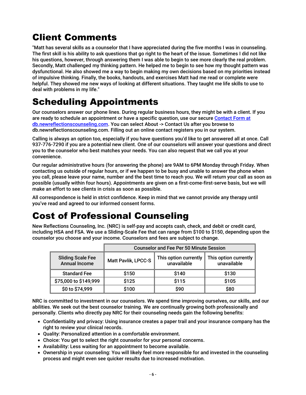# <span id="page-7-0"></span>Client Comments

"Matt has several skills as a counselor that I have appreciated during the five months I was in counseling. The first skill is his ability to ask questions that go right to the heart of the issue. Sometimes I did not like his questions, however, through answering them I was able to begin to see more clearly the real problem. Secondly, Matt challenged my thinking pattern. He helped me to begin to see how my thought pattern was dysfunctional. He also showed me a way to begin making my own decisions based on my priorities instead of impulsive thinking. Finally, the books, handouts, and exercises Matt had me read or complete were helpful. They showed me new ways of looking at different situations. They taught me life skills to use to deal with problems in my life."

# <span id="page-7-1"></span>Scheduling Appointments

Our counselors answer our phone lines. During regular business hours, they might be with a client. If you are ready to schedule an appointment or have a specific question, use our secure Contact Form at [db.newreflectionscounseling.com.](https://db.newreflectionscounseling.com/default.aspx?page=ENTER_ABOUT_CONTACT) You can select About -> Contact Us after you browse to db.newreflectionscounseling.com. Filling out an online contact registers you in our system.

Calling is always an option too, especially if you have questions you'd like to get answered all at once. Call 937-776-7290 if you are a potential new client. One of our counselors will answer your questions and direct you to the counselor who best matches your needs. You can also request that we call you at your convenience.

Our regular administrative hours (for answering the phone) are 9AM to 6PM Monday through Friday. When contacting us outside of regular hours, or if we happen to be busy and unable to answer the phone when you call, please leave your name, number and the best time to reach you. We will return your call as soon as possible (usually within four hours). Appointments are given on a first-come-first-serve basis, but we will make an effort to see clients in crisis as soon as possible.

All correspondence is held in strict confidence. Keep in mind that we cannot provide any therapy until you've read and agreed to our informed consent forms.

# <span id="page-7-2"></span>Cost of Professional Counseling

New Reflections Counseling, Inc. (NRC) is self-pay and accepts cash, check, and debit or credit card, including HSA and FSA. We use a Sliding-Scale Fee that can range from \$100 to \$150, depending upon the counselor you choose and your income. Counselors and fees are subject to change.

|                                                  | <b>Counselor and Fee Per 50 Minute Session</b> |                                      |                                      |
|--------------------------------------------------|------------------------------------------------|--------------------------------------|--------------------------------------|
| <b>Sliding Scale Fee</b><br><b>Annual Income</b> | <b>Matt Pavlik, LPCC-S</b>                     | This option currently<br>unavailable | This option currently<br>unavailable |
| <b>Standard Fee</b>                              | \$150                                          | \$140                                | \$130                                |
| \$75,000 to \$149,999                            | \$125                                          | \$115                                | \$105                                |
| \$0 to \$74,999                                  | \$100                                          | \$90                                 | \$80                                 |

NRC is committed to investment in our counselors. We spend time improving ourselves, our skills, and our abilities. We seek out the best counselor training. We are continually growing both professionally and personally. Clients who directly pay NRC for their counseling needs gain the following benefits:

- Confidentiality and privacy: Using insurance creates a paper trail and your insurance company has the right to review your clinical records.
- Quality: Personalized attention in a comfortable environment.
- Choice: You get to select the right counselor for your personal concerns.
- Availability: Less waiting for an appointment to become available.
- Ownership in your counseling: You will likely feel more responsible for and invested in the counseling process and might even see quicker results due to increased motivation.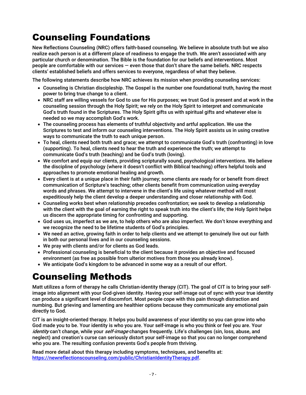# <span id="page-8-0"></span>Counseling Foundations

New Reflections Counseling (NRC) offers faith-based counseling. We believe in absolute truth but we also realize each person is at a different place of readiness to engage the truth. We aren't associated with any particular church or denomination. The Bible is the foundation for our beliefs and interventions. Most people are comfortable with our services — even those that don't share the same beliefs. NRC respects clients' established beliefs and offers services to everyone, regardless of what they believe.

The following statements describe how NRC achieves its mission when providing counseling services:

- Counseling is Christian discipleship. The Gospel is the number one foundational truth, having the most power to bring true change to a client.
- NRC staff are willing vessels for God to use for His purposes; we trust God is present and at work in the counseling session through the Holy Spirit; we rely on the Holy Spirit to interpret and communicate God's truth found in the Scriptures. The Holy Spirit gifts us with spiritual gifts and whatever else is needed so we may accomplish God's work.
- The counseling process has elements of truthful objectivity and artful application. We use the Scriptures to test and inform our counseling interventions. The Holy Spirit assists us in using creative ways to communicate the truth to each unique person.
- To heal, clients need both truth and grace; we attempt to communicate God's truth (confronting) in love (supporting). To heal, clients need to hear the truth and experience the truth; we attempt to communicate God's truth (teaching) and be God's truth (loving).
- We comfort and equip our clients, providing scripturally sound, psychological interventions. We believe the discipline of psychology (where it doesn't conflict with Biblical teaching) offers helpful tools and approaches to promote emotional healing and growth.
- Every client is at a unique place in their faith journey; some clients are ready for or benefit from direct communication of Scripture's teaching; other clients benefit from communication using everyday words and phrases. We attempt to intervene in the client's life using whatever method will most expeditiously help the client develop a deeper understanding and closer relationship with God.
- Counseling works best when relationship precedes confrontation; we seek to develop a relationship with the client with the goal of earning the right to speak truth into the client's life; the Holy Spirit helps us discern the appropriate timing for confronting and supporting.
- God uses us, imperfect as we are, to help others who are also imperfect. We don't know everything and we recognize the need to be lifetime students of God's principles.
- We need an active, growing faith in order to help clients and we attempt to genuinely live out our faith in both our personal lives and in our counseling sessions.
- We pray with clients and/or for clients as God leads.
- Professional counseling is beneficial to the client because it provides an objective and focused environment (as free as possible from ulterior motives from those you already know).
- We anticipate God's kingdom to be advanced in some way as a result of our effort.

# <span id="page-8-1"></span>Counseling Methods

Matt utilizes a form of therapy he calls Christian-identity therapy (CIT). The goal of CIT is to bring your selfimage into alignment with your God-given identity. Having your self-image out of sync with your true identity can produce a significant level of discomfort. Most people cope with this pain through distraction and numbing. But grieving and lamenting are healthier options because they communicate any emotional pain directly to God.

CIT is an insight-oriented therapy. It helps you build awareness of your identity so you can grow into who God made you to be. Your identity is who you are. Your self-image is who you think or feel you are. Your identity can't change, while your *self-image* changes frequently. Life's challenges (sin, loss, abuse, and neglect) and creation's curse can seriously distort your self-image so that you can no longer comprehend who you are. The resulting confusion prevents God's people from thriving.

Read more detail about this therapy including symptoms, techniques, and benefits at: [https://newreflectionscounseling.com/public/ChristianIdentityTherapy.pdf.](https://newreflectionscounseling.com/public/ChristianIdentityTherapy.pdf)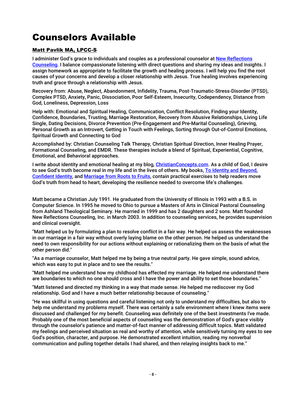# <span id="page-9-0"></span>Counselors Available

#### Matt Pavlik MA, LPCC-S

I administer God's grace to individuals and couples as a professional counselor at New Reflections [Counseling.](http://www.newreflectionscounseling.com/) I balance compassionate listening with direct questions and sharing my ideas and insights. I assign homework as appropriate to facilitate the growth and healing process. I will help you find the root causes of your concerns and develop a closer relationship with Jesus. True healing involves experiencing truth and grace through a relationship with Jesus.

Recovery from: Abuse, Neglect, Abandonment, Infidelity, Trauma, Post-Traumatic-Stress-Disorder (PTSD), Complex PTSD, Anxiety, Panic, Dissociation, Poor Self-Esteem, Insecurity, Codependency, Distance from God, Loneliness, Depression, Loss

Help with: Emotional and Spiritual Healing, Communication, Conflict Resolution, Finding your Identity, Confidence, Boundaries, Trusting, Marriage Restoration, Recovery from Abusive Relationships, Living Life Single, Dating Decisions, Divorce Prevention (Pre-Engagement and Pre-Marital Counseling), Grieving, Personal Growth as an Introvert, Getting in Touch with Feelings, Sorting through Out-of-Control Emotions, Spiritual Growth and Connecting to God

Accomplished by: Christian Counseling Talk Therapy, Christian Spiritual Direction, Inner Healing Prayer, Formational Counseling, and EMDR. These therapies include a blend of Spiritual, Experiential, Cognitive, Emotional, and Behavioral approaches.

I write about identity and emotional healing at my blog[, ChristianConcepts.com.](http://www.christianconcepts.com/) As a child of God, I desire to see God's truth become real in my life and in the lives of others. My books, To Identity and Beyond, [Confident Identity,](http://www.confidentidentity.com/) and [Marriage from Roots to Fruits,](http://www.marriagefromrootstofruits.com/) contain practical exercises to help readers move God's truth from head to heart, developing the resilience needed to overcome life's challenges.

Matt became a Christian July 1991. He graduated from the University of Illinois in 1993 with a B.S. in Computer Science. In 1995 he moved to Ohio to pursue a Masters of Arts in Clinical Pastoral Counseling from Ashland Theological Seminary. He married in 1999 and has 2 daughters and 2 sons. Matt founded New Reflections Counseling, Inc. in March 2003. In addition to counseling services, he provides supervision and clinical oversight.

"Matt helped us by formulating a plan to resolve conflict in a fair way. He helped us assess the weaknesses in our marriage in a fair way without overly laying blame on the other person. He helped us understand the need to own responsibility for our actions without explaining or rationalizing them on the basis of what the other person did."

"As a marriage counselor, Matt helped me by being a true neutral party. He gave simple, sound advice, which was easy to put in place and to see the results."

"Matt helped me understand how my childhood has effected my marriage. He helped me understand there are boundaries to which no one should cross and I have the power and ability to set those boundaries."

"Matt listened and directed my thinking in a way that made sense. He helped me rediscover my God relationship. God and I have a much better relationship because of counseling."

"He was skillful in using questions and careful listening not only to understand my difficulties, but also to help me understand my problems myself. There was certainly a safe environment where I knew items were discussed and challenged for my benefit. Counseling was definitely one of the best investments I've made. Probably one of the most beneficial aspects of counseling was the demonstration of God's grace visibly through the counselor's patience and matter-of-fact manner of addressing difficult topics. Matt validated my feelings and perceived situation as real and worthy of attention, while sensitively turning my eyes to see God's position, character, and purpose. He demonstrated excellent intuition, reading my nonverbal communication and pulling together details I had shared, and then relaying insights back to me."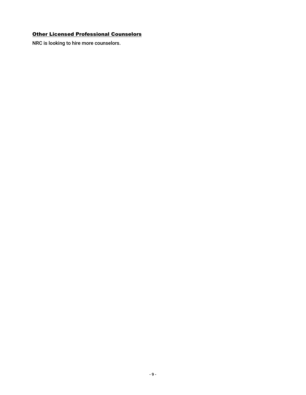#### **Other Licensed Professional Counselors**

NRC is looking to hire more counselors.